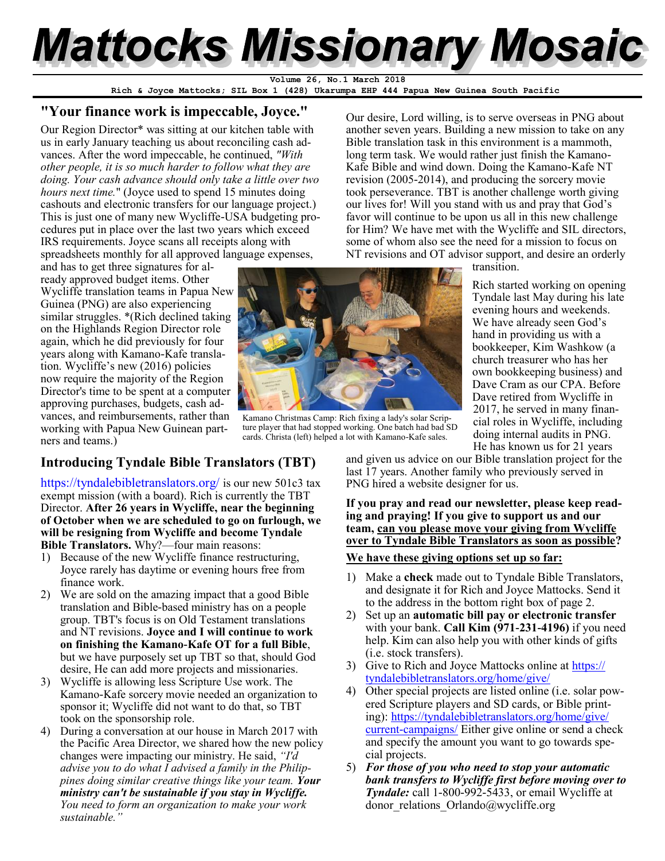# **Mattocks Missionary Mosaic**

**Rich & Joyce Mattocks; SIL Box 1 (428) Ukarumpa EHP 444 Papua New Guinea South Pacific Volume 26, No.1 March 2018**

#### **"Your finance work is impeccable, Joyce."**

Our Region Director\* was sitting at our kitchen table with us in early January teaching us about reconciling cash advances. After the word impeccable, he continued, *"With other people, it is so much harder to follow what they are doing. Your cash advance should only take a little over two hours next time.*" (Joyce used to spend 15 minutes doing cashouts and electronic transfers for our language project.) This is just one of many new Wycliffe-USA budgeting procedures put in place over the last two years which exceed IRS requirements. Joyce scans all receipts along with spreadsheets monthly for all approved language expenses,

and has to get three signatures for already approved budget items. Other Wycliffe translation teams in Papua New Guinea (PNG) are also experiencing similar struggles. \*(Rich declined taking on the Highlands Region Director role again, which he did previously for four years along with Kamano-Kafe translation. Wycliffe's new (2016) policies now require the majority of the Region Director's time to be spent at a computer approving purchases, budgets, cash advances, and reimbursements, rather than working with Papua New Guinean partners and teams.)

#### **Introducing Tyndale Bible Translators (TBT)**

<https://tyndalebibletranslators.org/> is our new 501c3 tax exempt mission (with a board). Rich is currently the TBT Director. **After 26 years in Wycliffe, near the beginning of October when we are scheduled to go on furlough, we will be resigning from Wycliffe and become Tyndale Bible Translators.** Why?—four main reasons:

- 1) Because of the new Wycliffe finance restructuring, Joyce rarely has daytime or evening hours free from finance work.
- 2) We are sold on the amazing impact that a good Bible translation and Bible-based ministry has on a people group. TBT's focus is on Old Testament translations and NT revisions. **Joyce and I will continue to work on finishing the Kamano-Kafe OT for a full Bible**, but we have purposely set up TBT so that, should God desire, He can add more projects and missionaries.
- 3) Wycliffe is allowing less Scripture Use work. The Kamano-Kafe sorcery movie needed an organization to sponsor it; Wycliffe did not want to do that, so TBT took on the sponsorship role.
- 4) During a conversation at our house in March 2017 with the Pacific Area Director, we shared how the new policy changes were impacting our ministry. He said, *"I'd advise you to do what I advised a family in the Philippines doing similar creative things like your team. Your ministry can't be sustainable if you stay in Wycliffe. You need to form an organization to make your work sustainable."*

Our desire, Lord willing, is to serve overseas in PNG about another seven years. Building a new mission to take on any Bible translation task in this environment is a mammoth, long term task. We would rather just finish the Kamano-Kafe Bible and wind down. Doing the Kamano-Kafe NT revision (2005-2014), and producing the sorcery movie took perseverance. TBT is another challenge worth giving our lives for! Will you stand with us and pray that God's favor will continue to be upon us all in this new challenge for Him? We have met with the Wycliffe and SIL directors, some of whom also see the need for a mission to focus on NT revisions and OT advisor support, and desire an orderly

transition.

Rich started working on opening Tyndale last May during his late evening hours and weekends. We have already seen God's hand in providing us with a bookkeeper, Kim Washkow (a church treasurer who has her own bookkeeping business) and Dave Cram as our CPA. Before Dave retired from Wycliffe in 2017, he served in many financial roles in Wycliffe, including doing internal audits in PNG. He has known us for 21 years

and given us advice on our Bible translation project for the last 17 years. Another family who previously served in PNG hired a website designer for us.

#### **If you pray and read our newsletter, please keep reading and praying! If you give to support us and our team, can you please move your giving from Wycliffe over to Tyndale Bible Translators as soon as possible?**

#### **We have these giving options set up so far:**

- 1) Make a **check** made out to Tyndale Bible Translators, and designate it for Rich and Joyce Mattocks. Send it to the address in the bottom right box of page 2.
- 2) Set up an **automatic bill pay or electronic transfer**  with your bank. **Call Kim (971-231-4196)** if you need help. Kim can also help you with other kinds of gifts (i.e. stock transfers).
- 3) Give to Rich and Joyce Mattocks online at [https://](https://tyndalebibletranslators.org/home/give/) [tyndalebibletranslators.org/home/give/](https://tyndalebibletranslators.org/home/give/)
- 4) Other special projects are listed online (i.e. solar powered Scripture players and SD cards, or Bible printing): [https://tyndalebibletranslators.org/home/give/](https://tyndalebibletranslators.org/home/give/current-campaigns/) [current-campaigns/](https://tyndalebibletranslators.org/home/give/current-campaigns/) Either give online or send a check and specify the amount you want to go towards special projects.
- 5) *For those of you who need to stop your automatic bank transfers to Wycliffe first before moving over to Tyndale:* call 1-800-992-5433, or email Wycliffe at donor\_relations\_Orlando@wycliffe.org



Kamano Christmas Camp: Rich fixing a lady's solar Scripture player that had stopped working. One batch had bad SD cards. Christa (left) helped a lot with Kamano-Kafe sales.